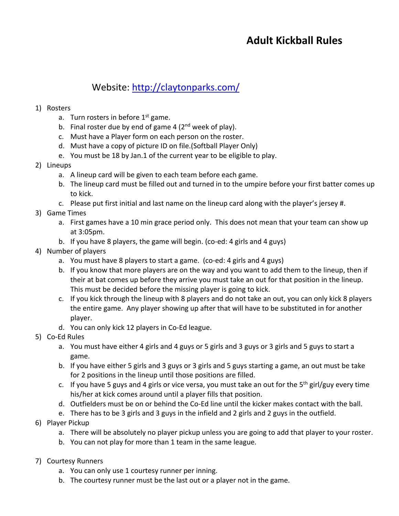# **Adult Kickball Rules**

# Website:<http://claytonparks.com/>

#### 1) Rosters

- a. Turn rosters in before  $1<sup>st</sup>$  game.
- b. Final roster due by end of game 4  $(2<sup>nd</sup>$  week of play).
- c. Must have a Player form on each person on the roster.
- d. Must have a copy of picture ID on file.(Softball Player Only)
- e. You must be 18 by Jan.1 of the current year to be eligible to play.

### 2) Lineups

- a. A lineup card will be given to each team before each game.
- b. The lineup card must be filled out and turned in to the umpire before your first batter comes up to kick.
- c. Please put first initial and last name on the lineup card along with the player's jersey #.

# 3) Game Times

- a. First games have a 10 min grace period only. This does not mean that your team can show up at 3:05pm.
- b. If you have 8 players, the game will begin. (co-ed: 4 girls and 4 guys)

# 4) Number of players

- a. You must have 8 players to start a game. (co-ed: 4 girls and 4 guys)
- b. If you know that more players are on the way and you want to add them to the lineup, then if their at bat comes up before they arrive you must take an out for that position in the lineup. This must be decided before the missing player is going to kick.
- c. If you kick through the lineup with 8 players and do not take an out, you can only kick 8 players the entire game. Any player showing up after that will have to be substituted in for another player.
- d. You can only kick 12 players in Co-Ed league.

# 5) Co-Ed Rules

- a. You must have either 4 girls and 4 guys or 5 girls and 3 guys or 3 girls and 5 guys to start a game.
- b. If you have either 5 girls and 3 guys or 3 girls and 5 guys starting a game, an out must be take for 2 positions in the lineup until those positions are filled.
- c. If you have 5 guys and 4 girls or vice versa, you must take an out for the  $5<sup>th</sup>$  girl/guy every time his/her at kick comes around until a player fills that position.
- d. Outfielders must be on or behind the Co-Ed line until the kicker makes contact with the ball.
- e. There has to be 3 girls and 3 guys in the infield and 2 girls and 2 guys in the outfield.

### 6) Player Pickup

- a. There will be absolutely no player pickup unless you are going to add that player to your roster.
- b. You can not play for more than 1 team in the same league.

### 7) Courtesy Runners

- a. You can only use 1 courtesy runner per inning.
- b. The courtesy runner must be the last out or a player not in the game.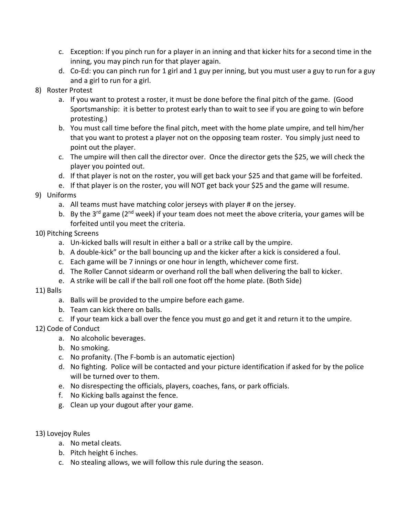- c. Exception: If you pinch run for a player in an inning and that kicker hits for a second time in the inning, you may pinch run for that player again.
- d. Co-Ed: you can pinch run for 1 girl and 1 guy per inning, but you must user a guy to run for a guy and a girl to run for a girl.
- 8) Roster Protest
	- a. If you want to protest a roster, it must be done before the final pitch of the game. (Good Sportsmanship: it is better to protest early than to wait to see if you are going to win before protesting.)
	- b. You must call time before the final pitch, meet with the home plate umpire, and tell him/her that you want to protest a player not on the opposing team roster. You simply just need to point out the player.
	- c. The umpire will then call the director over. Once the director gets the \$25, we will check the player you pointed out.
	- d. If that player is not on the roster, you will get back your \$25 and that game will be forfeited.
	- e. If that player is on the roster, you will NOT get back your \$25 and the game will resume.
- 9) Uniforms
	- a. All teams must have matching color jerseys with player # on the jersey.
	- b. By the 3<sup>rd</sup> game ( $2<sup>nd</sup>$  week) if your team does not meet the above criteria, your games will be forfeited until you meet the criteria.
- 10) Pitching Screens
	- a. Un-kicked balls will result in either a ball or a strike call by the umpire.
	- b. A double-kick" or the ball bouncing up and the kicker after a kick is considered a foul.
	- c. Each game will be 7 innings or one hour in length, whichever come first.
	- d. The Roller Cannot sidearm or overhand roll the ball when delivering the ball to kicker.
	- e. A strike will be call if the ball roll one foot off the home plate. (Both Side)
- 11) Balls
	- a. Balls will be provided to the umpire before each game.
	- b. Team can kick there on balls.
	- c. If your team kick a ball over the fence you must go and get it and return it to the umpire.
- 12) Code of Conduct
	- a. No alcoholic beverages.
	- b. No smoking.
	- c. No profanity. (The F-bomb is an automatic ejection)
	- d. No fighting. Police will be contacted and your picture identification if asked for by the police will be turned over to them.
	- e. No disrespecting the officials, players, coaches, fans, or park officials.
	- f. No Kicking balls against the fence.
	- g. Clean up your dugout after your game.
- 13) Lovejoy Rules
	- a. No metal cleats.
	- b. Pitch height 6 inches.
	- c. No stealing allows, we will follow this rule during the season.